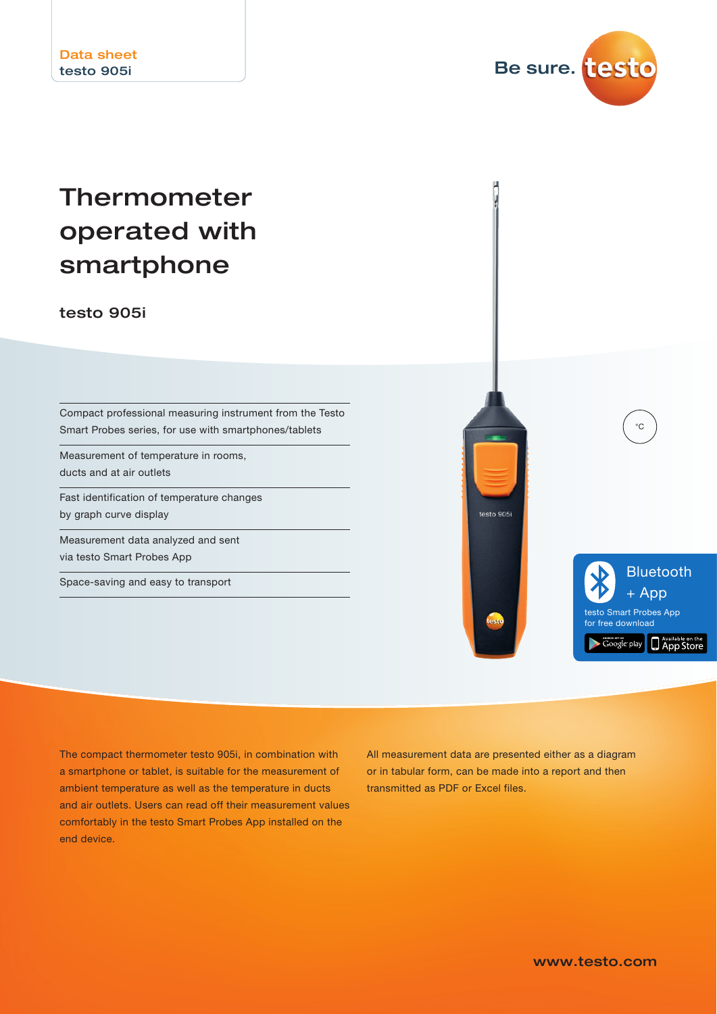

# Thermometer operated with smartphone

testo 905i

Compact professional measuring instrument from the Testo Smart Probes series, for use with smartphones/tablets

Measurement of temperature in rooms, ducts and at air outlets

Fast identification of temperature changes by graph curve display

Measurement data analyzed and sent via testo Smart Probes App

Space-saving and easy to transport



The compact thermometer testo 905i, in combination with a smartphone or tablet, is suitable for the measurement of ambient temperature as well as the temperature in ducts and air outlets. Users can read off their measurement values comfortably in the testo Smart Probes App installed on the end device.

All measurement data are presented either as a diagram or in tabular form, can be made into a report and then transmitted as PDF or Excel files.